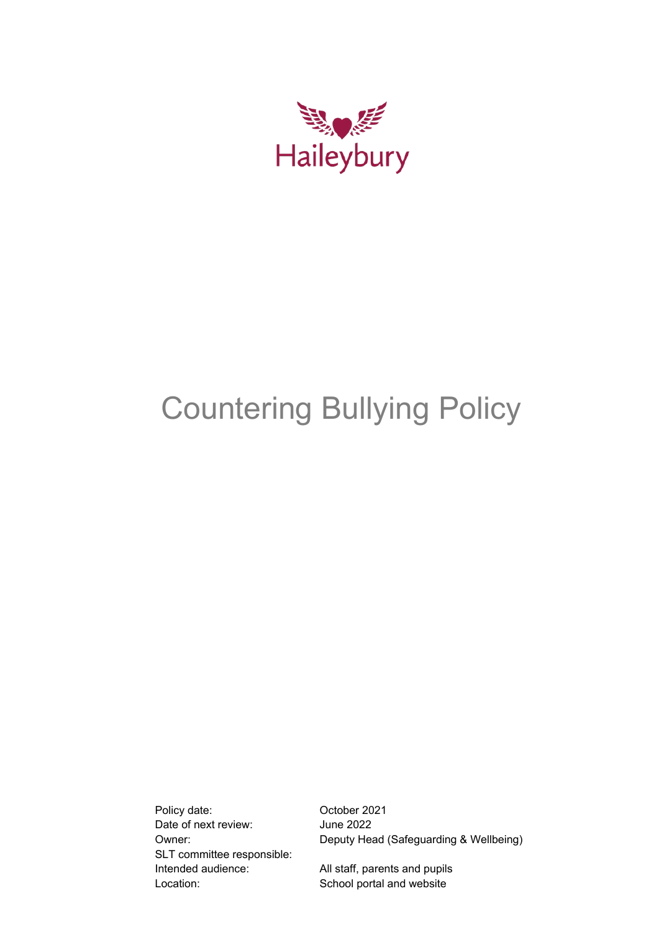

# Countering Bullying Policy

Policy date: Contract Contract October 2021 Date of next review: June 2022 SLT committee responsible: Intended audience: All staff, parents and pupils Location: School portal and website

Owner: Deputy Head (Safeguarding & Wellbeing)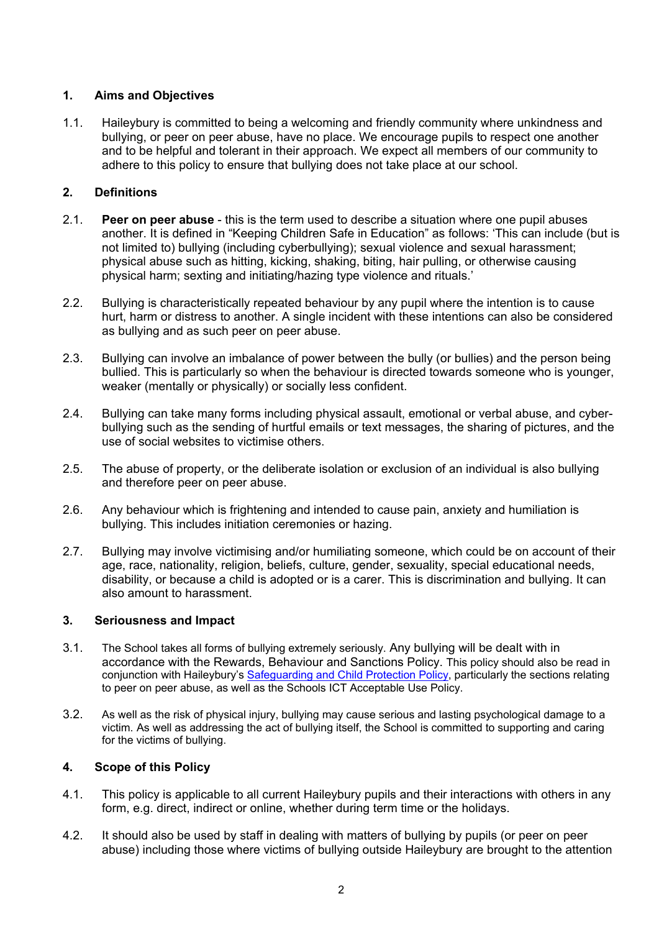## **1. Aims and Objectives**

1.1. Haileybury is committed to being a welcoming and friendly community where unkindness and bullying, or peer on peer abuse, have no place. We encourage pupils to respect one another and to be helpful and tolerant in their approach. We expect all members of our community to adhere to this policy to ensure that bullying does not take place at our school.

## **2. Definitions**

- 2.1. **Peer on peer abuse**  this is the term used to describe a situation where one pupil abuses another. It is defined in "Keeping Children Safe in Education" as follows: 'This can include (but is not limited to) bullying (including cyberbullying); sexual violence and sexual harassment; physical abuse such as hitting, kicking, shaking, biting, hair pulling, or otherwise causing physical harm; sexting and initiating/hazing type violence and rituals.'
- 2.2. Bullying is characteristically repeated behaviour by any pupil where the intention is to cause hurt, harm or distress to another. A single incident with these intentions can also be considered as bullying and as such peer on peer abuse.
- 2.3. Bullying can involve an imbalance of power between the bully (or bullies) and the person being bullied. This is particularly so when the behaviour is directed towards someone who is younger, weaker (mentally or physically) or socially less confident.
- 2.4. Bullying can take many forms including physical assault, emotional or verbal abuse, and cyberbullying such as the sending of hurtful emails or text messages, the sharing of pictures, and the use of social websites to victimise others.
- 2.5. The abuse of property, or the deliberate isolation or exclusion of an individual is also bullying and therefore peer on peer abuse.
- 2.6. Any behaviour which is frightening and intended to cause pain, anxiety and humiliation is bullying. This includes initiation ceremonies or hazing.
- 2.7. Bullying may involve victimising and/or humiliating someone, which could be on account of their age, race, nationality, religion, beliefs, culture, gender, sexuality, special educational needs, disability, or because a child is adopted or is a carer. This is discrimination and bullying. It can also amount to harassment.

## **3. Seriousness and Impact**

- 3.1. The School takes all forms of bullying extremely seriously. Any bullying will be dealt with in accordance with the Rewards, Behaviour and Sanctions Policy. This policy should also be read in conjunction with Haileybury's [Safeguarding and Child Protection Policy,](https://www.haileybury.com/policies-publications/) particularly the sections relating to peer on peer abuse, as well as the Schools ICT Acceptable Use Policy.
- 3.2. As well as the risk of physical injury, bullying may cause serious and lasting psychological damage to a victim. As well as addressing the act of bullying itself, the School is committed to supporting and caring for the victims of bullying.

## **4. Scope of this Policy**

- 4.1. This policy is applicable to all current Haileybury pupils and their interactions with others in any form, e.g. direct, indirect or online, whether during term time or the holidays.
- 4.2. It should also be used by staff in dealing with matters of bullying by pupils (or peer on peer abuse) including those where victims of bullying outside Haileybury are brought to the attention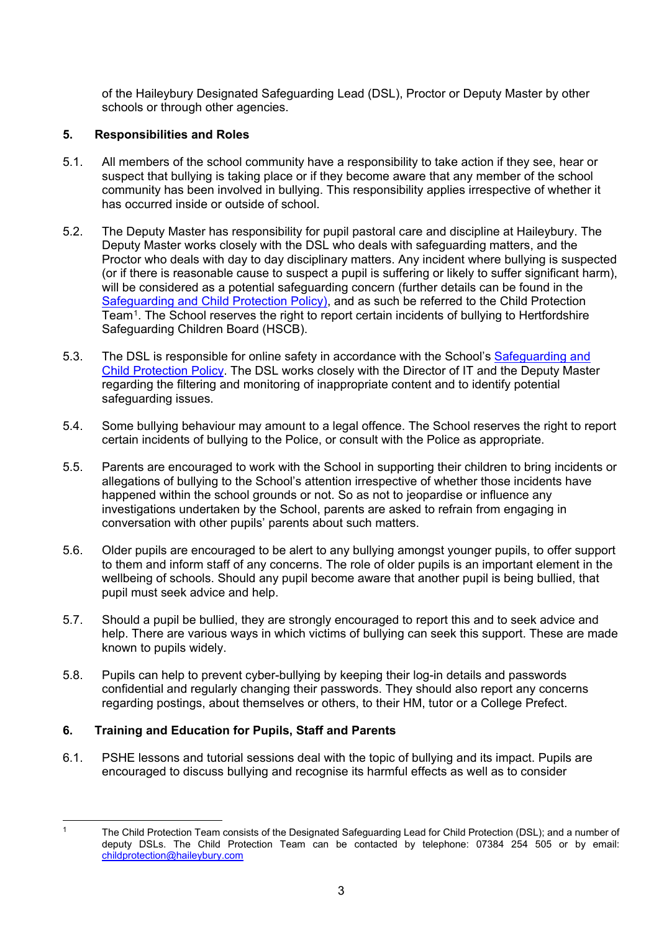of the Haileybury Designated Safeguarding Lead (DSL), Proctor or Deputy Master by other schools or through other agencies.

# **5. Responsibilities and Roles**

- 5.1. All members of the school community have a responsibility to take action if they see, hear or suspect that bullying is taking place or if they become aware that any member of the school community has been involved in bullying. This responsibility applies irrespective of whether it has occurred inside or outside of school.
- 5.2. The Deputy Master has responsibility for pupil pastoral care and discipline at Haileybury. The Deputy Master works closely with the DSL who deals with safeguarding matters, and the Proctor who deals with day to day disciplinary matters. Any incident where bullying is suspected (or if there is reasonable cause to suspect a pupil is suffering or likely to suffer significant harm), will be considered as a potential safeguarding concern (further details can be found in the [Safeguarding and Child Protection Policy\)](https://www.haileybury.com/policies-publications/), and as such be referred to the Child Protection Team[1.](#page-2-0) The School reserves the right to report certain incidents of bullying to Hertfordshire Safeguarding Children Board (HSCB).
- 5.3. The DSL is responsible for online safety in accordance with the School's Safeguarding and [Child Protection Policy.](https://www.haileybury.com/policies-publications/) The DSL works closely with the Director of IT and the Deputy Master regarding the filtering and monitoring of inappropriate content and to identify potential safeguarding issues.
- 5.4. Some bullying behaviour may amount to a legal offence. The School reserves the right to report certain incidents of bullying to the Police, or consult with the Police as appropriate.
- 5.5. Parents are encouraged to work with the School in supporting their children to bring incidents or allegations of bullying to the School's attention irrespective of whether those incidents have happened within the school grounds or not. So as not to jeopardise or influence any investigations undertaken by the School, parents are asked to refrain from engaging in conversation with other pupils' parents about such matters.
- 5.6. Older pupils are encouraged to be alert to any bullying amongst younger pupils, to offer support to them and inform staff of any concerns. The role of older pupils is an important element in the wellbeing of schools. Should any pupil become aware that another pupil is being bullied, that pupil must seek advice and help.
- 5.7. Should a pupil be bullied, they are strongly encouraged to report this and to seek advice and help. There are various ways in which victims of bullying can seek this support. These are made known to pupils widely.
- 5.8. Pupils can help to prevent cyber-bullying by keeping their log-in details and passwords confidential and regularly changing their passwords. They should also report any concerns regarding postings, about themselves or others, to their HM, tutor or a College Prefect.

## **6. Training and Education for Pupils, Staff and Parents**

6.1. PSHE lessons and tutorial sessions deal with the topic of bullying and its impact. Pupils are encouraged to discuss bullying and recognise its harmful effects as well as to consider

<span id="page-2-0"></span>

<sup>&</sup>lt;sup>1</sup> The Child Protection Team consists of the Designated Safeguarding Lead for Child Protection (DSL); and a number of deputy DSLs. The Child Protection Team can be contacted by telephone: 07384 254 505 or by email: [childprotection@haileybury.com](mailto:childprotection@haileybury.com)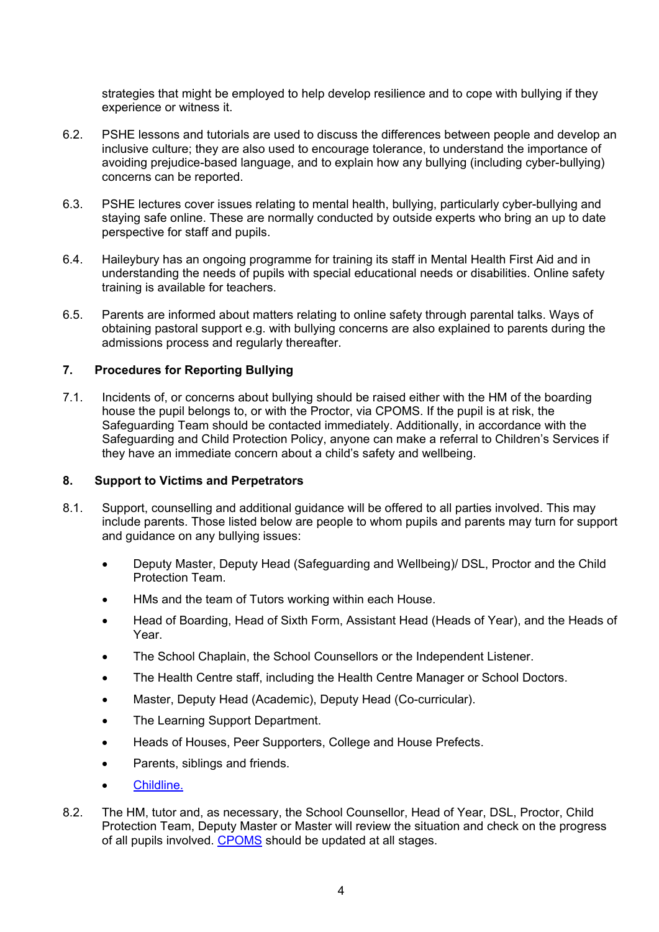strategies that might be employed to help develop resilience and to cope with bullying if they experience or witness it.

- 6.2. PSHE lessons and tutorials are used to discuss the differences between people and develop an inclusive culture; they are also used to encourage tolerance, to understand the importance of avoiding prejudice-based language, and to explain how any bullying (including cyber-bullying) concerns can be reported.
- 6.3. PSHE lectures cover issues relating to mental health, bullying, particularly cyber-bullying and staying safe online. These are normally conducted by outside experts who bring an up to date perspective for staff and pupils.
- 6.4. Haileybury has an ongoing programme for training its staff in Mental Health First Aid and in understanding the needs of pupils with special educational needs or disabilities. Online safety training is available for teachers.
- 6.5. Parents are informed about matters relating to online safety through parental talks. Ways of obtaining pastoral support e.g. with bullying concerns are also explained to parents during the admissions process and regularly thereafter.

#### **7. Procedures for Reporting Bullying**

7.1. Incidents of, or concerns about bullying should be raised either with the HM of the boarding house the pupil belongs to, or with the Proctor, via CPOMS. If the pupil is at risk, the Safeguarding Team should be contacted immediately. Additionally, in accordance with the Safeguarding and Child Protection Policy, anyone can make a referral to Children's Services if they have an immediate concern about a child's safety and wellbeing.

#### **8. Support to Victims and Perpetrators**

- 8.1. Support, counselling and additional guidance will be offered to all parties involved. This may include parents. Those listed below are people to whom pupils and parents may turn for support and guidance on any bullying issues:
	- Deputy Master, Deputy Head (Safeguarding and Wellbeing)/ DSL, Proctor and the Child Protection Team.
	- HMs and the team of Tutors working within each House.
	- Head of Boarding, Head of Sixth Form, Assistant Head (Heads of Year), and the Heads of Year.
	- The School Chaplain, the School Counsellors or the Independent Listener.
	- The Health Centre staff, including the Health Centre Manager or School Doctors.
	- Master, Deputy Head (Academic), Deputy Head (Co-curricular).
	- The Learning Support Department.
	- Heads of Houses, Peer Supporters, College and House Prefects.
	- Parents, siblings and friends.
	- [Childline.](https://www.childline.org.uk/)
- 8.2. The HM, tutor and, as necessary, the School Counsellor, Head of Year, DSL, Proctor, Child Protection Team, Deputy Master or Master will review the situation and check on the progress of all pupils involved. [CPOMS](https://haileybury.cpoms.net/auth/identity?origin=https://haileybury.cpoms.net/) should be updated at all stages.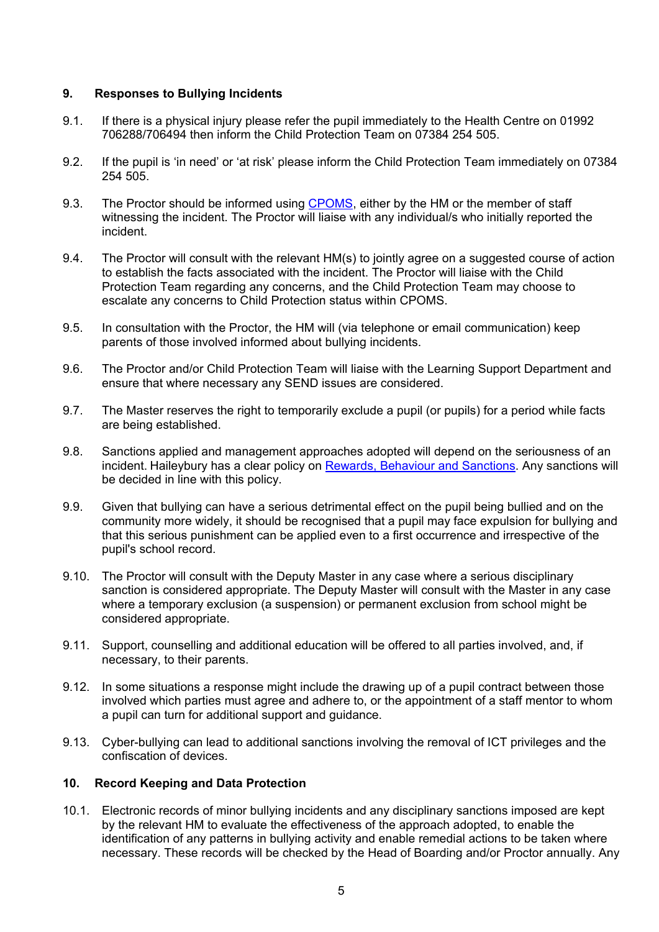## **9. Responses to Bullying Incidents**

- 9.1. If there is a physical injury please refer the pupil immediately to the Health Centre on 01992 706288/706494 then inform the Child Protection Team on 07384 254 505.
- 9.2. If the pupil is 'in need' or 'at risk' please inform the Child Protection Team immediately on 07384 254 505.
- 9.3. The Proctor should be informed using [CPOMS,](https://haileybury.cpoms.net/auth/identity?origin=https://haileybury.cpoms.net/) either by the HM or the member of staff witnessing the incident. The Proctor will liaise with any individual/s who initially reported the incident.
- 9.4. The Proctor will consult with the relevant HM(s) to jointly agree on a suggested course of action to establish the facts associated with the incident. The Proctor will liaise with the Child Protection Team regarding any concerns, and the Child Protection Team may choose to escalate any concerns to Child Protection status within CPOMS.
- 9.5. In consultation with the Proctor, the HM will (via telephone or email communication) keep parents of those involved informed about bullying incidents.
- 9.6. The Proctor and/or Child Protection Team will liaise with the Learning Support Department and ensure that where necessary any SEND issues are considered.
- 9.7. The Master reserves the right to temporarily exclude a pupil (or pupils) for a period while facts are being established.
- 9.8. Sanctions applied and management approaches adopted will depend on the seriousness of an incident. Haileybury has a clear policy on Rewards, Behaviour and Sanctions, Any sanctions will be decided in line with this policy.
- 9.9. Given that bullying can have a serious detrimental effect on the pupil being bullied and on the community more widely, it should be recognised that a pupil may face expulsion for bullying and that this serious punishment can be applied even to a first occurrence and irrespective of the pupil's school record.
- 9.10. The Proctor will consult with the Deputy Master in any case where a serious disciplinary sanction is considered appropriate. The Deputy Master will consult with the Master in any case where a temporary exclusion (a suspension) or permanent exclusion from school might be considered appropriate.
- 9.11. Support, counselling and additional education will be offered to all parties involved, and, if necessary, to their parents.
- 9.12. In some situations a response might include the drawing up of a pupil contract between those involved which parties must agree and adhere to, or the appointment of a staff mentor to whom a pupil can turn for additional support and guidance.
- 9.13. Cyber-bullying can lead to additional sanctions involving the removal of ICT privileges and the confiscation of devices.

## **10. Record Keeping and Data Protection**

10.1. Electronic records of minor bullying incidents and any disciplinary sanctions imposed are kept by the relevant HM to evaluate the effectiveness of the approach adopted, to enable the identification of any patterns in bullying activity and enable remedial actions to be taken where necessary. These records will be checked by the Head of Boarding and/or Proctor annually. Any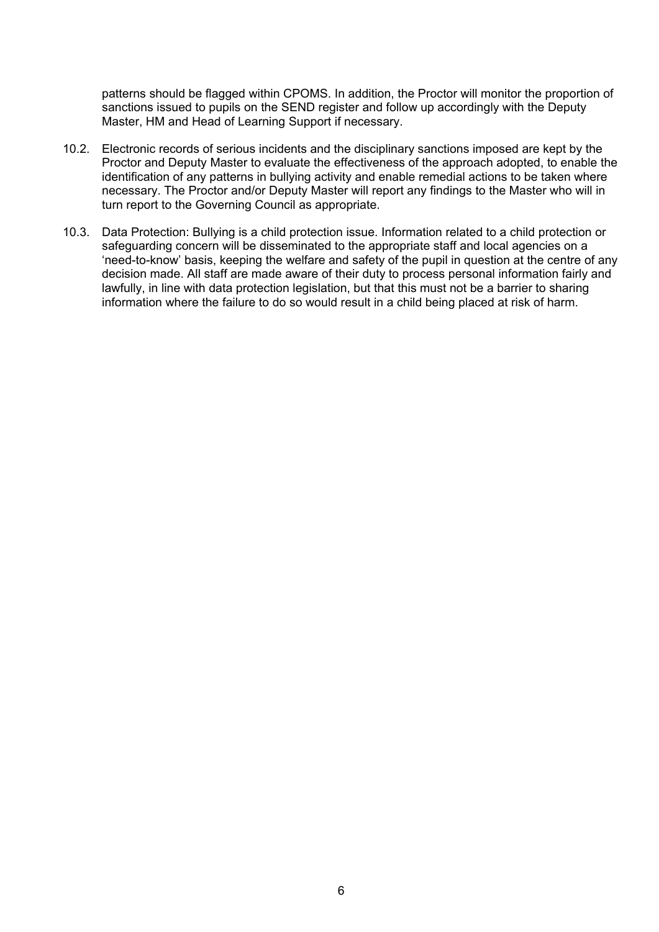patterns should be flagged within CPOMS. In addition, the Proctor will monitor the proportion of sanctions issued to pupils on the SEND register and follow up accordingly with the Deputy Master, HM and Head of Learning Support if necessary.

- 10.2. Electronic records of serious incidents and the disciplinary sanctions imposed are kept by the Proctor and Deputy Master to evaluate the effectiveness of the approach adopted, to enable the identification of any patterns in bullying activity and enable remedial actions to be taken where necessary. The Proctor and/or Deputy Master will report any findings to the Master who will in turn report to the Governing Council as appropriate.
- 10.3. Data Protection: Bullying is a child protection issue. Information related to a child protection or safeguarding concern will be disseminated to the appropriate staff and local agencies on a 'need-to-know' basis, keeping the welfare and safety of the pupil in question at the centre of any decision made. All staff are made aware of their duty to process personal information fairly and lawfully, in line with data protection legislation, but that this must not be a barrier to sharing information where the failure to do so would result in a child being placed at risk of harm.